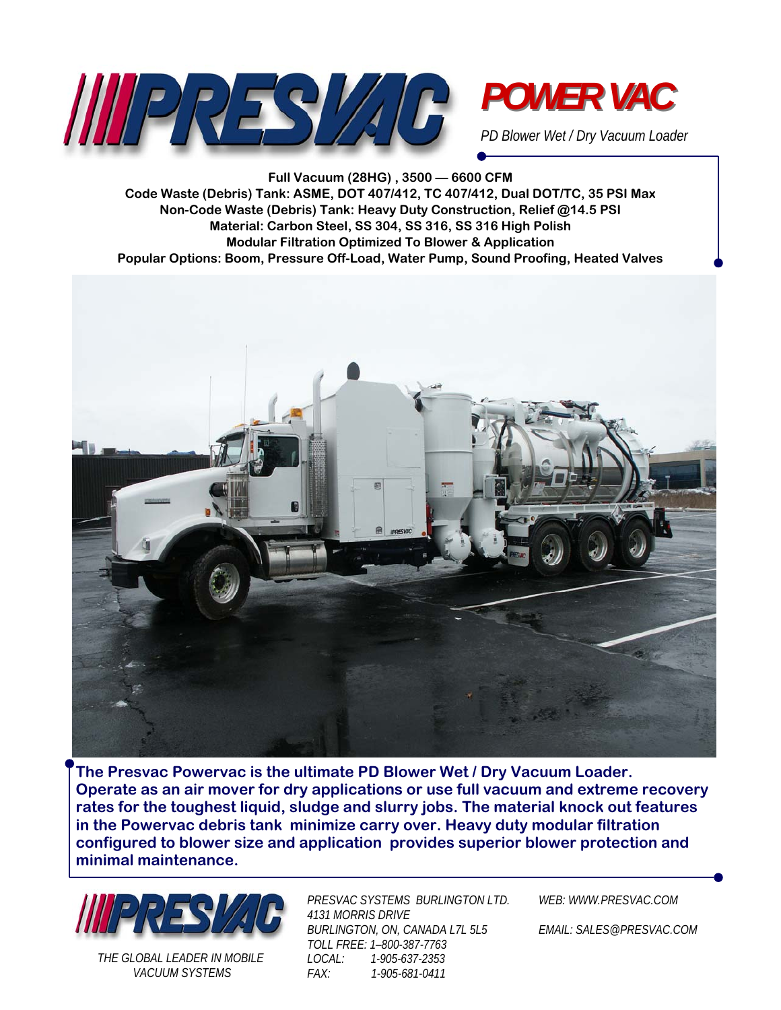



*PD Blower Wet / Dry Vacuum Loader* 

**Full Vacuum (28HG) , 3500 — 6600 CFM Code Waste (Debris) Tank: ASME, DOT 407/412, TC 407/412, Dual DOT/TC, 35 PSI Max Non-Code Waste (Debris) Tank: Heavy Duty Construction, Relief @14.5 PSI Material: Carbon Steel, SS 304, SS 316, SS 316 High Polish Modular Filtration Optimized To Blower & Application Popular Options: Boom, Pressure Off-Load, Water Pump, Sound Proofing, Heated Valves** 



**The Presvac Powervac is the ultimate PD Blower Wet / Dry Vacuum Loader. Operate as an air mover for dry applications or use full vacuum and extreme recovery rates for the toughest liquid, sludge and slurry jobs. The material knock out features in the Powervac debris tank minimize carry over. Heavy duty modular filtration configured to blower size and application provides superior blower protection and minimal maintenance.** 



*THE GLOBAL LEADER IN MOBILE VACUUM SYSTEMS* 

*PRESVAC SYSTEMS BURLINGTON LTD. 4131 MORRIS DRIVE BURLINGTON, ON, CANADA L7L 5L5 TOLL FREE: 1–800-387-7763 LOCAL: 1-905-637-2353 FAX: 1-905-681-0411* 

*WEB: WWW.PRESVAC.COM* 

*EMAIL: SALES@PRESVAC.COM*